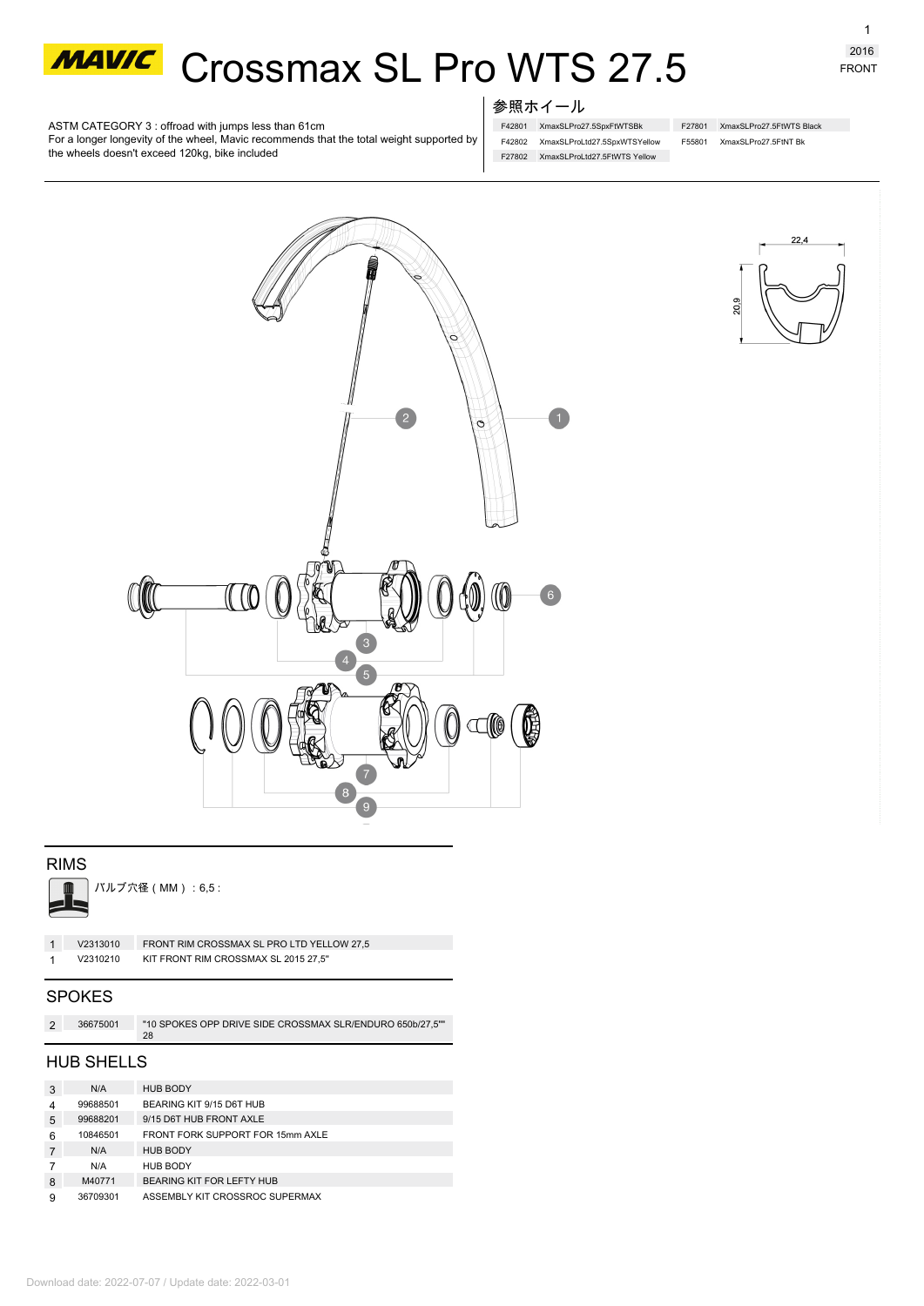

# **MAWC** Crossmax SL Pro WTS 27.5

1 FRONT

ASTM CATEGORY 3 : offroad with jumps less than 61cm

For a longer longevity of the wheel, Mavic recommends that the total weight supported by the wheels doesn't exceed 120kg, bike included

## 参照ホイール

F42801 XmaxSLPro27.5SpxFtWTSBk F27801 XmaxSLPro27.5FtWTS Black F42802 XmaxSLProLtd27.5SpxWTSYellow F27802 XmaxSLProLtd27.5FtWTS Yellow

F55801 XmaxSLPro27.5FtNT Bk

 $\overline{C}$  $\bullet$  $\overline{2}$  $\circ$  $\mathcal{U}(\mathcal{C})$ 3 4  $\sqrt{5}$ Ê  $\square$  $\begin{array}{c} 8 \end{array}$ 

# RIMS



| ▌ │ バルブ穴径(MM):6,5: |  |
|--------------------|--|
|                    |  |
|                    |  |
|                    |  |

| V2313010 | FRONT RIM CROSSMAX SL PRO LTD YELLOW 27.5 |
|----------|-------------------------------------------|
| V2310210 | KIT FRONT RIM CROSSMAX SL 2015 27.5"      |
|          |                                           |

## **SPOKES**

| 36675001 | "10 SPOKES OPP DRIVE SIDE CROSSMAX SLR/ENDURO 650b/27.5"" |
|----------|-----------------------------------------------------------|
|          |                                                           |

## HUB SHELLS

| 3 | N/A      | <b>HUB BODY</b>                  |
|---|----------|----------------------------------|
| 4 | 99688501 | BEARING KIT 9/15 D6T HUB         |
| 5 | 99688201 | 9/15 D6T HUB FRONT AXLE          |
| 6 | 10846501 | FRONT FORK SUPPORT FOR 15mm AXLE |
|   | N/A      | <b>HUB BODY</b>                  |
|   | N/A      | HUB BODY                         |
| 8 | M40771   | BEARING KIT FOR LEFTY HUB        |
| 9 | 36709301 | ASSEMBLY KIT CROSSROC SUPERMAX   |